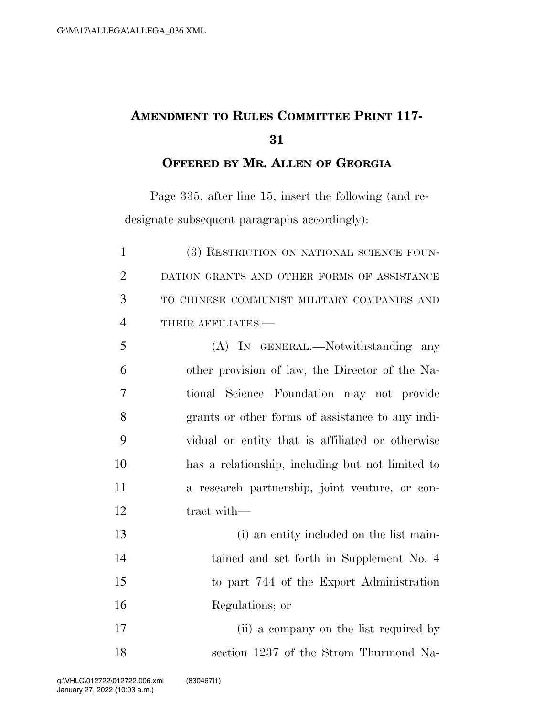## **AMENDMENT TO RULES COMMITTEE PRINT 117-**

**OFFERED BY MR. ALLEN OF GEORGIA**

Page 335, after line 15, insert the following (and redesignate subsequent paragraphs accordingly):

| $\mathbf{1}$   | (3) RESTRICTION ON NATIONAL SCIENCE FOUN-        |
|----------------|--------------------------------------------------|
| $\overline{2}$ | DATION GRANTS AND OTHER FORMS OF ASSISTANCE      |
| 3              | TO CHINESE COMMUNIST MILITARY COMPANIES AND      |
| $\overline{4}$ | THEIR AFFILIATES.-                               |
| 5              | (A) IN GENERAL.—Notwithstanding any              |
| 6              | other provision of law, the Director of the Na-  |
| 7              | tional Science Foundation may not provide        |
| 8              | grants or other forms of assistance to any indi- |
| 9              | vidual or entity that is affiliated or otherwise |
| 10             | has a relationship, including but not limited to |
| 11             | a research partnership, joint venture, or con-   |
| 12             | tract with-                                      |
| 13             | (i) an entity included on the list main-         |
| 14             | tained and set forth in Supplement No. 4         |
| 15             | to part 744 of the Export Administration         |
| 16             | Regulations; or                                  |
| 17             | (ii) a company on the list required by           |
| 18             | section 1237 of the Strom Thurmond Na-           |